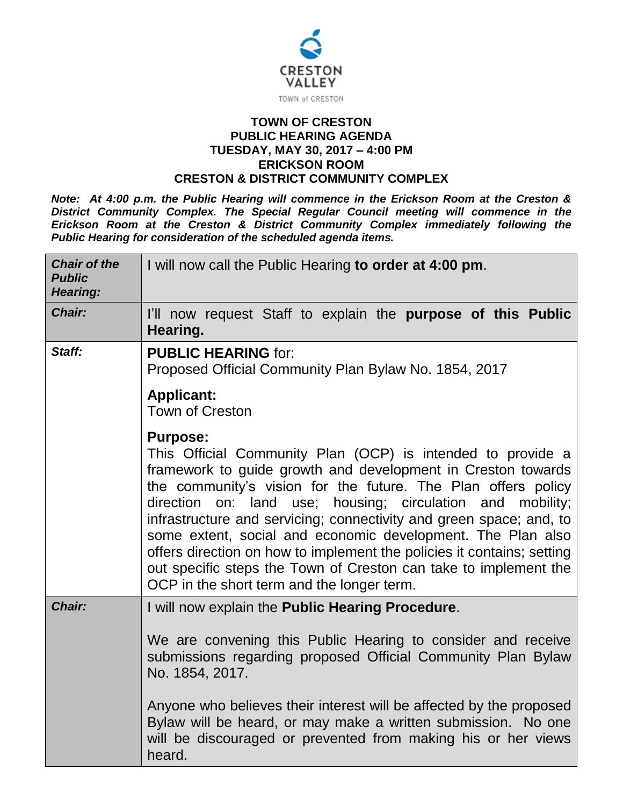

## **TOWN OF CRESTON PUBLIC HEARING AGENDA TUESDAY, MAY 30, 2017 – 4:00 PM ERICKSON ROOM CRESTON & DISTRICT COMMUNITY COMPLEX**

*Note: At 4:00 p.m. the Public Hearing will commence in the Erickson Room at the Creston & District Community Complex. The Special Regular Council meeting will commence in the Erickson Room at the Creston & District Community Complex immediately following the Public Hearing for consideration of the scheduled agenda items.*

| <b>Chair of the</b><br><b>Public</b><br><b>Hearing:</b> | I will now call the Public Hearing to order at 4:00 pm.                                                                                                                                                                                                                                                                                                                                                                                                                                                                                                                                                            |  |  |  |
|---------------------------------------------------------|--------------------------------------------------------------------------------------------------------------------------------------------------------------------------------------------------------------------------------------------------------------------------------------------------------------------------------------------------------------------------------------------------------------------------------------------------------------------------------------------------------------------------------------------------------------------------------------------------------------------|--|--|--|
| <b>Chair:</b>                                           | I'll now request Staff to explain the purpose of this Public<br>Hearing.                                                                                                                                                                                                                                                                                                                                                                                                                                                                                                                                           |  |  |  |
| Staff:                                                  | <b>PUBLIC HEARING for:</b><br>Proposed Official Community Plan Bylaw No. 1854, 2017                                                                                                                                                                                                                                                                                                                                                                                                                                                                                                                                |  |  |  |
|                                                         | <b>Applicant:</b><br><b>Town of Creston</b>                                                                                                                                                                                                                                                                                                                                                                                                                                                                                                                                                                        |  |  |  |
|                                                         | <b>Purpose:</b><br>This Official Community Plan (OCP) is intended to provide a<br>framework to guide growth and development in Creston towards<br>the community's vision for the future. The Plan offers policy<br>on: land use; housing; circulation and mobility;<br>direction<br>infrastructure and servicing; connectivity and green space; and, to<br>some extent, social and economic development. The Plan also<br>offers direction on how to implement the policies it contains; setting<br>out specific steps the Town of Creston can take to implement the<br>OCP in the short term and the longer term. |  |  |  |
| Chair:                                                  | I will now explain the Public Hearing Procedure.<br>We are convening this Public Hearing to consider and receive                                                                                                                                                                                                                                                                                                                                                                                                                                                                                                   |  |  |  |
|                                                         | submissions regarding proposed Official Community Plan Bylaw<br>No. 1854, 2017.                                                                                                                                                                                                                                                                                                                                                                                                                                                                                                                                    |  |  |  |
|                                                         | Anyone who believes their interest will be affected by the proposed<br>Bylaw will be heard, or may make a written submission. No one<br>will be discouraged or prevented from making his or her views<br>heard.                                                                                                                                                                                                                                                                                                                                                                                                    |  |  |  |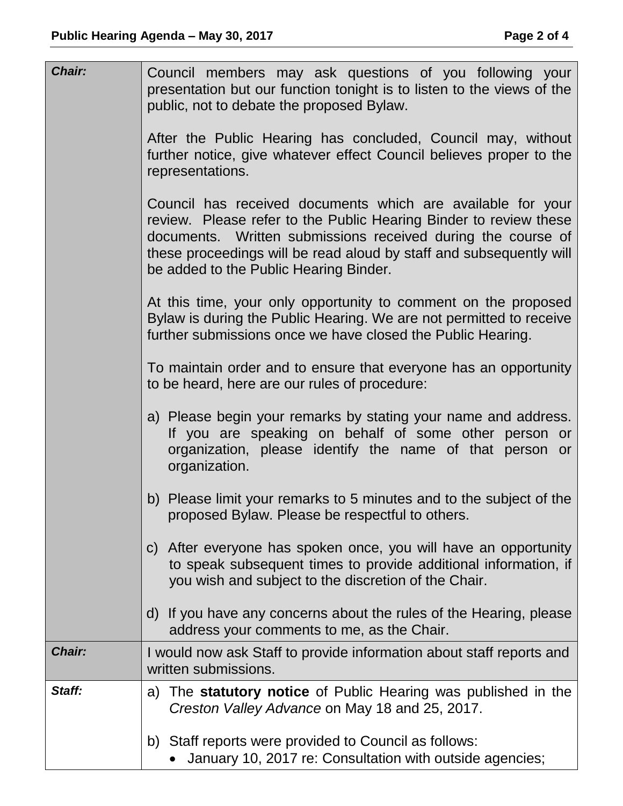| Chair: | Council members may ask questions of you following your<br>presentation but our function tonight is to listen to the views of the<br>public, not to debate the proposed Bylaw.                                                                                                                                    |
|--------|-------------------------------------------------------------------------------------------------------------------------------------------------------------------------------------------------------------------------------------------------------------------------------------------------------------------|
|        | After the Public Hearing has concluded, Council may, without<br>further notice, give whatever effect Council believes proper to the<br>representations.                                                                                                                                                           |
|        | Council has received documents which are available for your<br>review. Please refer to the Public Hearing Binder to review these<br>documents. Written submissions received during the course of<br>these proceedings will be read aloud by staff and subsequently will<br>be added to the Public Hearing Binder. |
|        | At this time, your only opportunity to comment on the proposed<br>Bylaw is during the Public Hearing. We are not permitted to receive<br>further submissions once we have closed the Public Hearing.                                                                                                              |
|        | To maintain order and to ensure that everyone has an opportunity<br>to be heard, here are our rules of procedure:                                                                                                                                                                                                 |
|        | a) Please begin your remarks by stating your name and address.<br>If you are speaking on behalf of some other person or<br>organization, please identify the name of that person or<br>organization.                                                                                                              |
|        | b) Please limit your remarks to 5 minutes and to the subject of the<br>proposed Bylaw. Please be respectful to others.                                                                                                                                                                                            |
|        | After everyone has spoken once, you will have an opportunity<br>C)<br>to speak subsequent times to provide additional information, if<br>you wish and subject to the discretion of the Chair.                                                                                                                     |
|        | d) If you have any concerns about the rules of the Hearing, please<br>address your comments to me, as the Chair.                                                                                                                                                                                                  |
| Chair: | I would now ask Staff to provide information about staff reports and<br>written submissions.                                                                                                                                                                                                                      |
| Staff: | a) The statutory notice of Public Hearing was published in the<br>Creston Valley Advance on May 18 and 25, 2017.                                                                                                                                                                                                  |
|        | b) Staff reports were provided to Council as follows:<br>January 10, 2017 re: Consultation with outside agencies;                                                                                                                                                                                                 |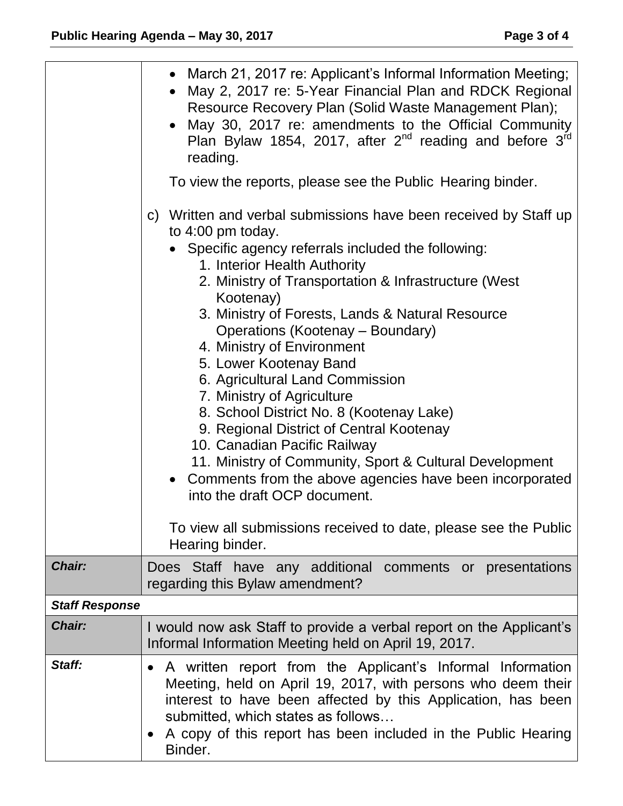|                       | • March 21, 2017 re: Applicant's Informal Information Meeting;<br>May 2, 2017 re: 5-Year Financial Plan and RDCK Regional<br>Resource Recovery Plan (Solid Waste Management Plan);<br>• May 30, 2017 re: amendments to the Official Community<br>Plan Bylaw 1854, 2017, after $2^{nd}$ reading and before $3^{rd}$<br>reading.<br>To view the reports, please see the Public Hearing binder.<br>Written and verbal submissions have been received by Staff up<br>$\mathsf{C}$<br>to 4:00 pm today.<br>• Specific agency referrals included the following:<br>1. Interior Health Authority<br>2. Ministry of Transportation & Infrastructure (West)<br>Kootenay)<br>3. Ministry of Forests, Lands & Natural Resource<br>Operations (Kootenay – Boundary)<br>4. Ministry of Environment<br>5. Lower Kootenay Band<br>6. Agricultural Land Commission<br>7. Ministry of Agriculture<br>8. School District No. 8 (Kootenay Lake)<br>9. Regional District of Central Kootenay<br>10. Canadian Pacific Railway<br>11. Ministry of Community, Sport & Cultural Development<br>Comments from the above agencies have been incorporated<br>into the draft OCP document.<br>To view all submissions received to date, please see the Public<br>Hearing binder. |  |  |
|-----------------------|------------------------------------------------------------------------------------------------------------------------------------------------------------------------------------------------------------------------------------------------------------------------------------------------------------------------------------------------------------------------------------------------------------------------------------------------------------------------------------------------------------------------------------------------------------------------------------------------------------------------------------------------------------------------------------------------------------------------------------------------------------------------------------------------------------------------------------------------------------------------------------------------------------------------------------------------------------------------------------------------------------------------------------------------------------------------------------------------------------------------------------------------------------------------------------------------------------------------------------------------------|--|--|
| Chair:                | Does Staff have any additional comments or presentations<br>regarding this Bylaw amendment?                                                                                                                                                                                                                                                                                                                                                                                                                                                                                                                                                                                                                                                                                                                                                                                                                                                                                                                                                                                                                                                                                                                                                          |  |  |
| <b>Staff Response</b> |                                                                                                                                                                                                                                                                                                                                                                                                                                                                                                                                                                                                                                                                                                                                                                                                                                                                                                                                                                                                                                                                                                                                                                                                                                                      |  |  |
| Chair:                | I would now ask Staff to provide a verbal report on the Applicant's<br>Informal Information Meeting held on April 19, 2017.                                                                                                                                                                                                                                                                                                                                                                                                                                                                                                                                                                                                                                                                                                                                                                                                                                                                                                                                                                                                                                                                                                                          |  |  |
| Staff:                | A written report from the Applicant's Informal Information<br>$\bullet$<br>Meeting, held on April 19, 2017, with persons who deem their<br>interest to have been affected by this Application, has been<br>submitted, which states as follows<br>A copy of this report has been included in the Public Hearing<br>$\bullet$<br>Binder.                                                                                                                                                                                                                                                                                                                                                                                                                                                                                                                                                                                                                                                                                                                                                                                                                                                                                                               |  |  |